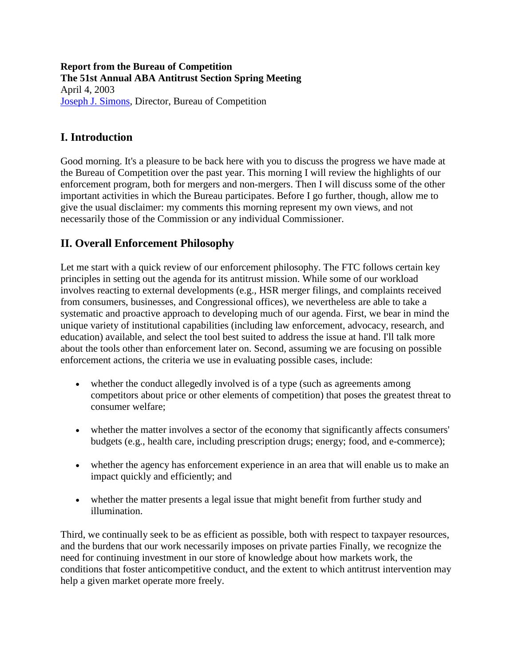**Report from the Bureau of Competition The 51st Annual ABA Antitrust Section Spring Meeting**  April 4, 2003 [Joseph J. Simons,](https://www.ftc.gov/about-ftc/biographies/joseph-j-simons) Director, Bureau of Competition

## **I. Introduction**

Good morning. It's a pleasure to be back here with you to discuss the progress we have made at the Bureau of Competition over the past year. This morning I will review the highlights of our enforcement program, both for mergers and non-mergers. Then I will discuss some of the other important activities in which the Bureau participates. Before I go further, though, allow me to give the usual disclaimer: my comments this morning represent my own views, and not necessarily those of the Commission or any individual Commissioner.

## **II. Overall Enforcement Philosophy**

Let me start with a quick review of our enforcement philosophy. The FTC follows certain key principles in setting out the agenda for its antitrust mission. While some of our workload involves reacting to external developments (e.g., HSR merger filings, and complaints received from consumers, businesses, and Congressional offices), we nevertheless are able to take a systematic and proactive approach to developing much of our agenda. First, we bear in mind the unique variety of institutional capabilities (including law enforcement, advocacy, research, and education) available, and select the tool best suited to address the issue at hand. I'll talk more about the tools other than enforcement later on. Second, assuming we are focusing on possible enforcement actions, the criteria we use in evaluating possible cases, include:

- whether the conduct allegedly involved is of a type (such as agreements among competitors about price or other elements of competition) that poses the greatest threat to consumer welfare;
- whether the matter involves a sector of the economy that significantly affects consumers' budgets (e.g., health care, including prescription drugs; energy; food, and e-commerce);
- whether the agency has enforcement experience in an area that will enable us to make an impact quickly and efficiently; and
- whether the matter presents a legal issue that might benefit from further study and illumination.

Third, we continually seek to be as efficient as possible, both with respect to taxpayer resources, and the burdens that our work necessarily imposes on private parties Finally, we recognize the need for continuing investment in our store of knowledge about how markets work, the conditions that foster anticompetitive conduct, and the extent to which antitrust intervention may help a given market operate more freely.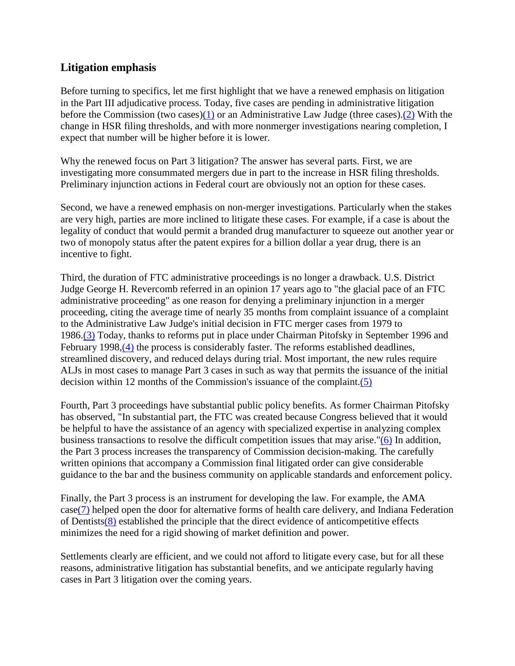### **Litigation emphasis**

Before turning to specifics, let me first highlight that we have a renewed emphasis on litigation in the Part III adjudicative process. Today, five cases are pending in administrative litigation before the Commission (two cases[\)\(1\)](#page-15-0) or an Administrative Law Judge (three cases)[.\(2\)](#page-15-1) With the change in HSR filing thresholds, and with more nonmerger investigations nearing completion, I expect that number will be higher before it is lower.

Why the renewed focus on Part 3 litigation? The answer has several parts. First, we are investigating more consummated mergers due in part to the increase in HSR filing thresholds. Preliminary injunction actions in Federal court are obviously not an option for these cases.

Second, we have a renewed emphasis on non-merger investigations. Particularly when the stakes are very high, parties are more inclined to litigate these cases. For example, if a case is about the legality of conduct that would permit a branded drug manufacturer to squeeze out another year or two of monopoly status after the patent expires for a billion dollar a year drug, there is an incentive to fight.

Third, the duration of FTC administrative proceedings is no longer a drawback. U.S. District Judge George H. Revercomb referred in an opinion 17 years ago to "the glacial pace of an FTC administrative proceeding" as one reason for denying a preliminary injunction in a merger proceeding, citing the average time of nearly 35 months from complaint issuance of a complaint to the Administrative Law Judge's initial decision in FTC merger cases from 1979 to 1986[.\(3\)](#page-15-2) Today, thanks to reforms put in place under Chairman Pitofsky in September 1996 and February 1998, (4) the process is considerably faster. The reforms established deadlines, streamlined discovery, and reduced delays during trial. Most important, the new rules require ALJs in most cases to manage Part 3 cases in such as way that permits the issuance of the initial decision within 12 months of the Commission's issuance of the complaint[.\(5\)](#page-15-4)

Fourth, Part 3 proceedings have substantial public policy benefits. As former Chairman Pitofsky has observed, "In substantial part, the FTC was created because Congress believed that it would be helpful to have the assistance of an agency with specialized expertise in analyzing complex business transactions to resolve the difficult competition issues that may arise.["\(6\)](#page-15-5) In addition, the Part 3 process increases the transparency of Commission decision-making. The carefully written opinions that accompany a Commission final litigated order can give considerable guidance to the bar and the business community on applicable standards and enforcement policy.

Finally, the Part 3 process is an instrument for developing the law. For example, the AMA cas[e\(7\)](#page-15-6) helped open the door for alternative forms of health care delivery, and Indiana Federation of Dentist[s\(8\)](#page-15-7) established the principle that the direct evidence of anticompetitive effects minimizes the need for a rigid showing of market definition and power.

Settlements clearly are efficient, and we could not afford to litigate every case, but for all these reasons, administrative litigation has substantial benefits, and we anticipate regularly having cases in Part 3 litigation over the coming years.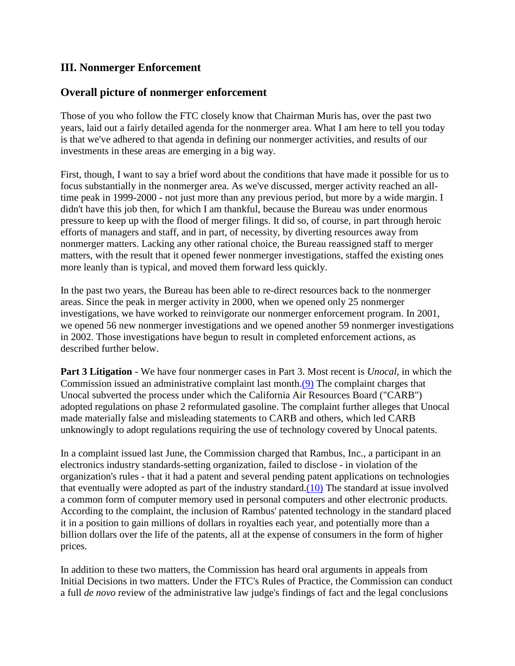## **III. Nonmerger Enforcement**

#### **Overall picture of nonmerger enforcement**

Those of you who follow the FTC closely know that Chairman Muris has, over the past two years, laid out a fairly detailed agenda for the nonmerger area. What I am here to tell you today is that we've adhered to that agenda in defining our nonmerger activities, and results of our investments in these areas are emerging in a big way.

First, though, I want to say a brief word about the conditions that have made it possible for us to focus substantially in the nonmerger area. As we've discussed, merger activity reached an alltime peak in 1999-2000 - not just more than any previous period, but more by a wide margin. I didn't have this job then, for which I am thankful, because the Bureau was under enormous pressure to keep up with the flood of merger filings. It did so, of course, in part through heroic efforts of managers and staff, and in part, of necessity, by diverting resources away from nonmerger matters. Lacking any other rational choice, the Bureau reassigned staff to merger matters, with the result that it opened fewer nonmerger investigations, staffed the existing ones more leanly than is typical, and moved them forward less quickly.

In the past two years, the Bureau has been able to re-direct resources back to the nonmerger areas. Since the peak in merger activity in 2000, when we opened only 25 nonmerger investigations, we have worked to reinvigorate our nonmerger enforcement program. In 2001, we opened 56 new nonmerger investigations and we opened another 59 nonmerger investigations in 2002. Those investigations have begun to result in completed enforcement actions, as described further below.

**Part 3 Litigation** - We have four nonmerger cases in Part 3. Most recent is *Unocal*, in which the Commission issued an administrative complaint last month[.\(9\)](#page-15-8) The complaint charges that Unocal subverted the process under which the California Air Resources Board ("CARB") adopted regulations on phase 2 reformulated gasoline. The complaint further alleges that Unocal made materially false and misleading statements to CARB and others, which led CARB unknowingly to adopt regulations requiring the use of technology covered by Unocal patents.

In a complaint issued last June, the Commission charged that Rambus, Inc., a participant in an electronics industry standards-setting organization, failed to disclose - in violation of the organization's rules - that it had a patent and several pending patent applications on technologies that eventually were adopted as part of the industry standard[.\(10\)](#page-15-9) The standard at issue involved a common form of computer memory used in personal computers and other electronic products. According to the complaint, the inclusion of Rambus' patented technology in the standard placed it in a position to gain millions of dollars in royalties each year, and potentially more than a billion dollars over the life of the patents, all at the expense of consumers in the form of higher prices.

In addition to these two matters, the Commission has heard oral arguments in appeals from Initial Decisions in two matters. Under the FTC's Rules of Practice, the Commission can conduct a full *de novo* review of the administrative law judge's findings of fact and the legal conclusions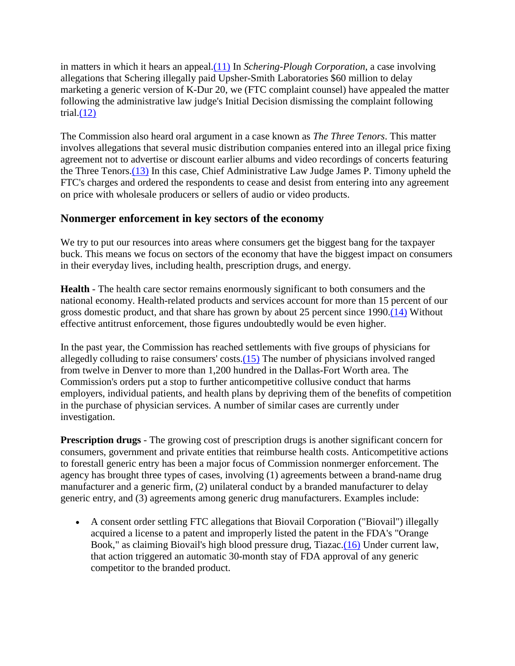in matters in which it hears an appeal[.\(11\)](#page-15-10) In *Schering-Plough Corporation*, a case involving allegations that Schering illegally paid Upsher-Smith Laboratories \$60 million to delay marketing a generic version of K-Dur 20, we (FTC complaint counsel) have appealed the matter following the administrative law judge's Initial Decision dismissing the complaint following trial. $(12)$ 

The Commission also heard oral argument in a case known as *The Three Tenors*. This matter involves allegations that several music distribution companies entered into an illegal price fixing agreement not to advertise or discount earlier albums and video recordings of concerts featuring the Three Tenors[.\(13\)](#page-15-12) In this case, Chief Administrative Law Judge James P. Timony upheld the FTC's charges and ordered the respondents to cease and desist from entering into any agreement on price with wholesale producers or sellers of audio or video products.

### **Nonmerger enforcement in key sectors of the economy**

We try to put our resources into areas where consumers get the biggest bang for the taxpayer buck. This means we focus on sectors of the economy that have the biggest impact on consumers in their everyday lives, including health, prescription drugs, and energy.

**Health** - The health care sector remains enormously significant to both consumers and the national economy. Health-related products and services account for more than 15 percent of our gross domestic product, and that share has grown by about 25 percent since 1990[.\(14\)](#page-15-13) Without effective antitrust enforcement, those figures undoubtedly would be even higher.

In the past year, the Commission has reached settlements with five groups of physicians for allegedly colluding to raise consumers' costs[.\(15\)](#page-16-0) The number of physicians involved ranged from twelve in Denver to more than 1,200 hundred in the Dallas-Fort Worth area. The Commission's orders put a stop to further anticompetitive collusive conduct that harms employers, individual patients, and health plans by depriving them of the benefits of competition in the purchase of physician services. A number of similar cases are currently under investigation.

**Prescription drugs** - The growing cost of prescription drugs is another significant concern for consumers, government and private entities that reimburse health costs. Anticompetitive actions to forestall generic entry has been a major focus of Commission nonmerger enforcement. The agency has brought three types of cases, involving (1) agreements between a brand-name drug manufacturer and a generic firm, (2) unilateral conduct by a branded manufacturer to delay generic entry, and (3) agreements among generic drug manufacturers. Examples include:

• A consent order settling FTC allegations that Biovail Corporation ("Biovail") illegally acquired a license to a patent and improperly listed the patent in the FDA's "Orange Book," as claiming Biovail's high blood pressure drug, Tiazac[.\(16\)](#page-16-1) Under current law, that action triggered an automatic 30-month stay of FDA approval of any generic competitor to the branded product.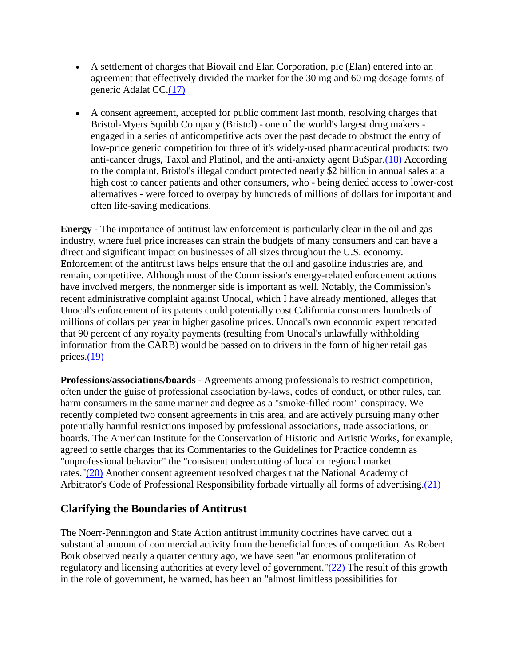- A settlement of charges that Biovail and Elan Corporation, plc (Elan) entered into an agreement that effectively divided the market for the 30 mg and 60 mg dosage forms of generic Adalat CC[.\(17\)](#page-16-2)
- A consent agreement, accepted for public comment last month, resolving charges that Bristol-Myers Squibb Company (Bristol) - one of the world's largest drug makers engaged in a series of anticompetitive acts over the past decade to obstruct the entry of low-price generic competition for three of it's widely-used pharmaceutical products: two anti-cancer drugs, Taxol and Platinol, and the anti-anxiety agent BuSpar[.\(18\)](#page-16-3) According to the complaint, Bristol's illegal conduct protected nearly \$2 billion in annual sales at a high cost to cancer patients and other consumers, who - being denied access to lower-cost alternatives - were forced to overpay by hundreds of millions of dollars for important and often life-saving medications.

**Energy** - The importance of antitrust law enforcement is particularly clear in the oil and gas industry, where fuel price increases can strain the budgets of many consumers and can have a direct and significant impact on businesses of all sizes throughout the U.S. economy. Enforcement of the antitrust laws helps ensure that the oil and gasoline industries are, and remain, competitive. Although most of the Commission's energy-related enforcement actions have involved mergers, the nonmerger side is important as well. Notably, the Commission's recent administrative complaint against Unocal, which I have already mentioned, alleges that Unocal's enforcement of its patents could potentially cost California consumers hundreds of millions of dollars per year in higher gasoline prices. Unocal's own economic expert reported that 90 percent of any royalty payments (resulting from Unocal's unlawfully withholding information from the CARB) would be passed on to drivers in the form of higher retail gas prices[.\(19\)](#page-16-4)

**Professions/associations/boards** - Agreements among professionals to restrict competition, often under the guise of professional association by-laws, codes of conduct, or other rules, can harm consumers in the same manner and degree as a "smoke-filled room" conspiracy. We recently completed two consent agreements in this area, and are actively pursuing many other potentially harmful restrictions imposed by professional associations, trade associations, or boards. The American Institute for the Conservation of Historic and Artistic Works, for example, agreed to settle charges that its Commentaries to the Guidelines for Practice condemn as "unprofessional behavior" the "consistent undercutting of local or regional market rates.["\(20\)](#page-16-5) Another consent agreement resolved charges that the National Academy of Arbitrator's Code of Professional Responsibility forbade virtually all forms of advertising[.\(21\)](#page-16-6)

## **Clarifying the Boundaries of Antitrust**

The Noerr-Pennington and State Action antitrust immunity doctrines have carved out a substantial amount of commercial activity from the beneficial forces of competition. As Robert Bork observed nearly a quarter century ago, we have seen "an enormous proliferation of regulatory and licensing authorities at every level of government.["\(22\)](#page-16-7) The result of this growth in the role of government, he warned, has been an "almost limitless possibilities for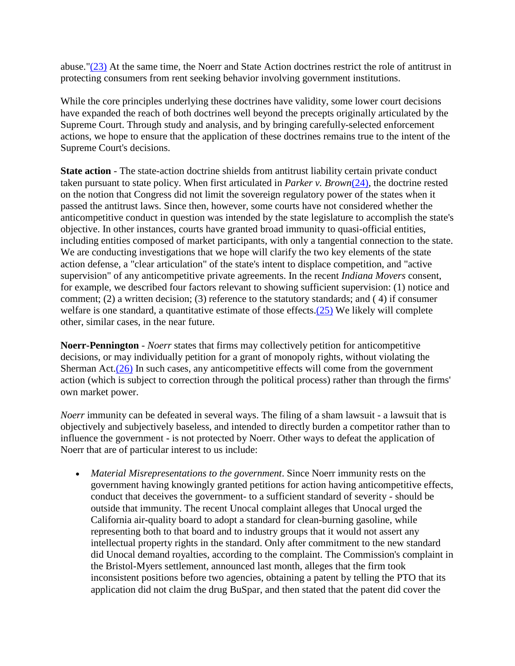abuse.["\(23\)](#page-16-8) At the same time, the Noerr and State Action doctrines restrict the role of antitrust in protecting consumers from rent seeking behavior involving government institutions.

While the core principles underlying these doctrines have validity, some lower court decisions have expanded the reach of both doctrines well beyond the precepts originally articulated by the Supreme Court. Through study and analysis, and by bringing carefully-selected enforcement actions, we hope to ensure that the application of these doctrines remains true to the intent of the Supreme Court's decisions.

**State action** - The state-action doctrine shields from antitrust liability certain private conduct taken pursuant to state policy. When first articulated in *Parker v. Brown*[\(24\),](#page-16-9) the doctrine rested on the notion that Congress did not limit the sovereign regulatory power of the states when it passed the antitrust laws. Since then, however, some courts have not considered whether the anticompetitive conduct in question was intended by the state legislature to accomplish the state's objective. In other instances, courts have granted broad immunity to quasi-official entities, including entities composed of market participants, with only a tangential connection to the state. We are conducting investigations that we hope will clarify the two key elements of the state action defense, a "clear articulation" of the state's intent to displace competition, and "active supervision" of any anticompetitive private agreements. In the recent *Indiana Movers* consent, for example, we described four factors relevant to showing sufficient supervision: (1) notice and comment; (2) a written decision; (3) reference to the statutory standards; and ( 4) if consumer welfare is one standard, a quantitative estimate of those effects. $(25)$  We likely will complete other, similar cases, in the near future.

**Noerr-Pennington** - *Noerr* states that firms may collectively petition for anticompetitive decisions, or may individually petition for a grant of monopoly rights, without violating the Sherman Act. $(26)$  In such cases, any anticompetitive effects will come from the government action (which is subject to correction through the political process) rather than through the firms' own market power.

*Noerr* immunity can be defeated in several ways. The filing of a sham lawsuit - a lawsuit that is objectively and subjectively baseless, and intended to directly burden a competitor rather than to influence the government - is not protected by Noerr. Other ways to defeat the application of Noerr that are of particular interest to us include:

• *Material Misrepresentations to the government*. Since Noerr immunity rests on the government having knowingly granted petitions for action having anticompetitive effects, conduct that deceives the government- to a sufficient standard of severity - should be outside that immunity. The recent Unocal complaint alleges that Unocal urged the California air-quality board to adopt a standard for clean-burning gasoline, while representing both to that board and to industry groups that it would not assert any intellectual property rights in the standard. Only after commitment to the new standard did Unocal demand royalties, according to the complaint. The Commission's complaint in the Bristol-Myers settlement, announced last month, alleges that the firm took inconsistent positions before two agencies, obtaining a patent by telling the PTO that its application did not claim the drug BuSpar, and then stated that the patent did cover the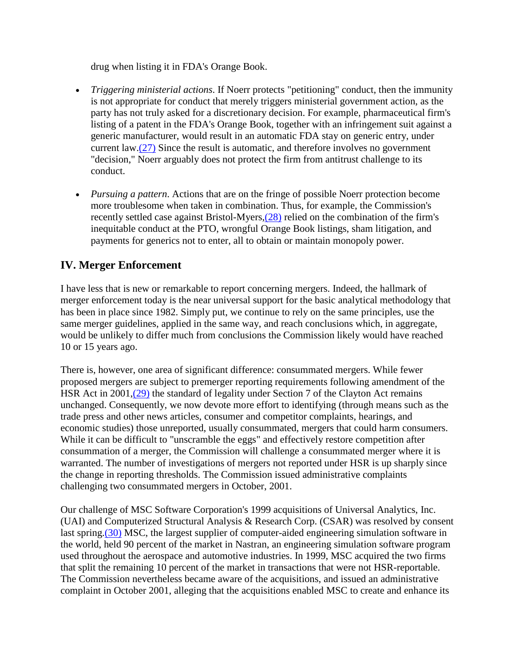drug when listing it in FDA's Orange Book.

- *Triggering ministerial actions*. If Noerr protects "petitioning" conduct, then the immunity is not appropriate for conduct that merely triggers ministerial government action, as the party has not truly asked for a discretionary decision. For example, pharmaceutical firm's listing of a patent in the FDA's Orange Book, together with an infringement suit against a generic manufacturer, would result in an automatic FDA stay on generic entry, under current law[.\(27\)](#page-16-12) Since the result is automatic, and therefore involves no government "decision," Noerr arguably does not protect the firm from antitrust challenge to its conduct.
- *Pursuing a pattern*. Actions that are on the fringe of possible Noerr protection become more troublesome when taken in combination. Thus, for example, the Commission's recently settled case against Bristol-Myers[,\(28\)](#page-16-13) relied on the combination of the firm's inequitable conduct at the PTO, wrongful Orange Book listings, sham litigation, and payments for generics not to enter, all to obtain or maintain monopoly power.

## **IV. Merger Enforcement**

I have less that is new or remarkable to report concerning mergers. Indeed, the hallmark of merger enforcement today is the near universal support for the basic analytical methodology that has been in place since 1982. Simply put, we continue to rely on the same principles, use the same merger guidelines, applied in the same way, and reach conclusions which, in aggregate, would be unlikely to differ much from conclusions the Commission likely would have reached 10 or 15 years ago.

There is, however, one area of significant difference: consummated mergers. While fewer proposed mergers are subject to premerger reporting requirements following amendment of the HSR Act in 2001[,\(29\)](#page-16-14) the standard of legality under Section 7 of the Clayton Act remains unchanged. Consequently, we now devote more effort to identifying (through means such as the trade press and other news articles, consumer and competitor complaints, hearings, and economic studies) those unreported, usually consummated, mergers that could harm consumers. While it can be difficult to "unscramble the eggs" and effectively restore competition after consummation of a merger, the Commission will challenge a consummated merger where it is warranted. The number of investigations of mergers not reported under HSR is up sharply since the change in reporting thresholds. The Commission issued administrative complaints challenging two consummated mergers in October, 2001.

Our challenge of MSC Software Corporation's 1999 acquisitions of Universal Analytics, Inc. (UAI) and Computerized Structural Analysis & Research Corp. (CSAR) was resolved by consent last spring[.\(30\)](#page-16-15) MSC, the largest supplier of computer-aided engineering simulation software in the world, held 90 percent of the market in Nastran, an engineering simulation software program used throughout the aerospace and automotive industries. In 1999, MSC acquired the two firms that split the remaining 10 percent of the market in transactions that were not HSR-reportable. The Commission nevertheless became aware of the acquisitions, and issued an administrative complaint in October 2001, alleging that the acquisitions enabled MSC to create and enhance its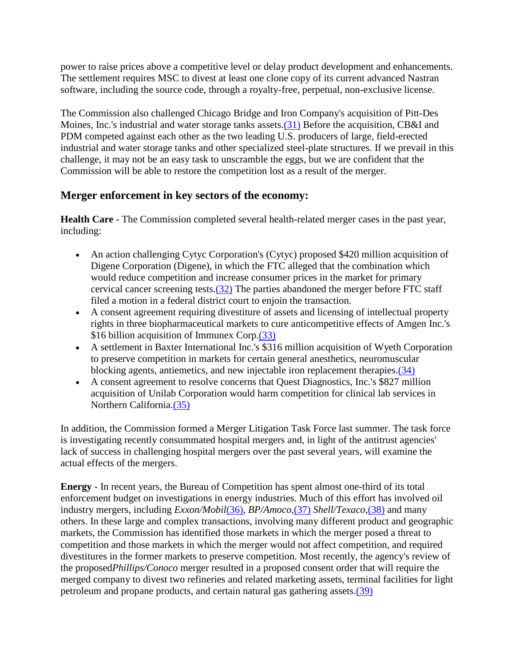power to raise prices above a competitive level or delay product development and enhancements. The settlement requires MSC to divest at least one clone copy of its current advanced Nastran software, including the source code, through a royalty-free, perpetual, non-exclusive license.

The Commission also challenged Chicago Bridge and Iron Company's acquisition of Pitt-Des Moines, Inc.'s industrial and water storage tanks assets[.\(31\)](#page-17-0) Before the acquisition, CB&I and PDM competed against each other as the two leading U.S. producers of large, field-erected industrial and water storage tanks and other specialized steel-plate structures. If we prevail in this challenge, it may not be an easy task to unscramble the eggs, but we are confident that the Commission will be able to restore the competition lost as a result of the merger.

### **Merger enforcement in key sectors of the economy:**

**Health Care** - The Commission completed several health-related merger cases in the past year, including:

- An action challenging Cytyc Corporation's (Cytyc) proposed \$420 million acquisition of Digene Corporation (Digene), in which the FTC alleged that the combination which would reduce competition and increase consumer prices in the market for primary cervical cancer screening tests[.\(32\)](#page-17-1) The parties abandoned the merger before FTC staff filed a motion in a federal district court to enjoin the transaction.
- A consent agreement requiring divestiture of assets and licensing of intellectual property rights in three biopharmaceutical markets to cure anticompetitive effects of Amgen Inc.'s \$16 billion acquisition of Immunex Corp[.\(33\)](#page-17-2)
- A settlement in Baxter International Inc.'s \$316 million acquisition of Wyeth Corporation to preserve competition in markets for certain general anesthetics, neuromuscular blocking agents, antiemetics, and new injectable iron replacement therapies[.\(34\)](#page-17-3)
- A consent agreement to resolve concerns that Quest Diagnostics, Inc.'s \$827 million acquisition of Unilab Corporation would harm competition for clinical lab services in Northern California[.\(35\)](#page-17-4)

In addition, the Commission formed a Merger Litigation Task Force last summer. The task force is investigating recently consummated hospital mergers and, in light of the antitrust agencies' lack of success in challenging hospital mergers over the past several years, will examine the actual effects of the mergers.

**Energy** - In recent years, the Bureau of Competition has spent almost one-third of its total enforcement budget on investigations in energy industries. Much of this effort has involved oil industry mergers, including *Exxon/Mobil*[\(36\),](#page-17-5) *BP/Amoco*[,\(37\)](#page-17-6) *Shell/Texaco*[,\(38\)](#page-17-7) and many others. In these large and complex transactions, involving many different product and geographic markets, the Commission has identified those markets in which the merger posed a threat to competition and those markets in which the merger would not affect competition, and required divestitures in the former markets to preserve competition. Most recently, the agency's review of the proposed*Phillips/Conoco* merger resulted in a proposed consent order that will require the merged company to divest two refineries and related marketing assets, terminal facilities for light petroleum and propane products, and certain natural gas gathering assets[.\(39\)](#page-17-8)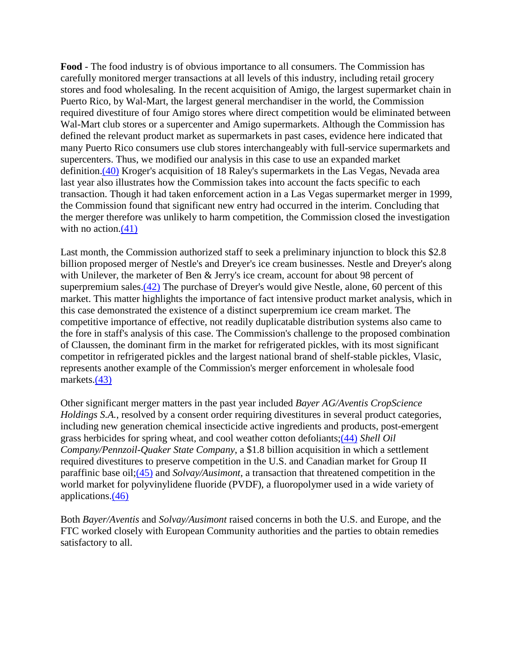**Food** - The food industry is of obvious importance to all consumers. The Commission has carefully monitored merger transactions at all levels of this industry, including retail grocery stores and food wholesaling. In the recent acquisition of Amigo, the largest supermarket chain in Puerto Rico, by Wal-Mart, the largest general merchandiser in the world, the Commission required divestiture of four Amigo stores where direct competition would be eliminated between Wal-Mart club stores or a supercenter and Amigo supermarkets. Although the Commission has defined the relevant product market as supermarkets in past cases, evidence here indicated that many Puerto Rico consumers use club stores interchangeably with full-service supermarkets and supercenters. Thus, we modified our analysis in this case to use an expanded market definition[.\(40\)](#page-17-9) Kroger's acquisition of 18 Raley's supermarkets in the Las Vegas, Nevada area last year also illustrates how the Commission takes into account the facts specific to each transaction. Though it had taken enforcement action in a Las Vegas supermarket merger in 1999, the Commission found that significant new entry had occurred in the interim. Concluding that the merger therefore was unlikely to harm competition, the Commission closed the investigation with no action.<sup>(41)</sup>

Last month, the Commission authorized staff to seek a preliminary injunction to block this \$2.8 billion proposed merger of Nestle's and Dreyer's ice cream businesses. Nestle and Dreyer's along with Unilever, the marketer of Ben & Jerry's ice cream, account for about 98 percent of superpremium sales[.\(42\)](#page-17-11) The purchase of Dreyer's would give Nestle, alone, 60 percent of this market. This matter highlights the importance of fact intensive product market analysis, which in this case demonstrated the existence of a distinct superpremium ice cream market. The competitive importance of effective, not readily duplicatable distribution systems also came to the fore in staff's analysis of this case. The Commission's challenge to the proposed combination of Claussen, the dominant firm in the market for refrigerated pickles, with its most significant competitor in refrigerated pickles and the largest national brand of shelf-stable pickles, Vlasic, represents another example of the Commission's merger enforcement in wholesale food markets[.\(43\)](#page-17-12)

Other significant merger matters in the past year included *Bayer AG/Aventis CropScience Holdings S.A.*, resolved by a consent order requiring divestitures in several product categories, including new generation chemical insecticide active ingredients and products, post-emergent grass herbicides for spring wheat, and cool weather cotton defoliants[;\(44\)](#page-17-13) *Shell Oil Company/Pennzoil-Quaker State Company*, a \$1.8 billion acquisition in which a settlement required divestitures to preserve competition in the U.S. and Canadian market for Group II paraffinic base oil[;\(45\)](#page-17-14) and *Solvay/Ausimont*, a transaction that threatened competition in the world market for polyvinylidene fluoride (PVDF), a fluoropolymer used in a wide variety of applications[.\(46\)](#page-17-15)

Both *Bayer/Aventis* and *Solvay/Ausimont* raised concerns in both the U.S. and Europe, and the FTC worked closely with European Community authorities and the parties to obtain remedies satisfactory to all.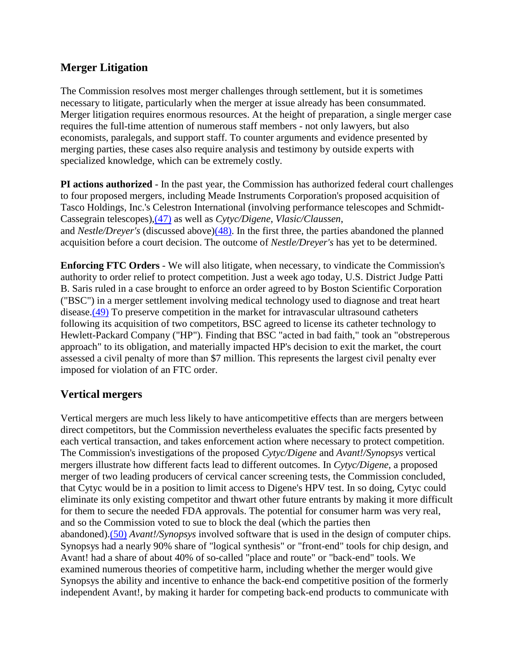## **Merger Litigation**

The Commission resolves most merger challenges through settlement, but it is sometimes necessary to litigate, particularly when the merger at issue already has been consummated. Merger litigation requires enormous resources. At the height of preparation, a single merger case requires the full-time attention of numerous staff members - not only lawyers, but also economists, paralegals, and support staff. To counter arguments and evidence presented by merging parties, these cases also require analysis and testimony by outside experts with specialized knowledge, which can be extremely costly.

**PI actions authorized** - In the past year, the Commission has authorized federal court challenges to four proposed mergers, including Meade Instruments Corporation's proposed acquisition of Tasco Holdings, Inc.'s Celestron International (involving performance telescopes and Schmidt-Cassegrain telescopes)[,\(47\)](#page-17-16) as well as *Cytyc/Digene*, *Vlasic/Claussen*, and *Nestle/Dreyer's* (discussed above[\)\(48\).](#page-17-17) In the first three, the parties abandoned the planned acquisition before a court decision. The outcome of *Nestle/Dreyer's* has yet to be determined.

**Enforcing FTC Orders** - We will also litigate, when necessary, to vindicate the Commission's authority to order relief to protect competition. Just a week ago today, U.S. District Judge Patti B. Saris ruled in a case brought to enforce an order agreed to by Boston Scientific Corporation ("BSC") in a merger settlement involving medical technology used to diagnose and treat heart disease[.\(49\)](#page-18-0) To preserve competition in the market for intravascular ultrasound catheters following its acquisition of two competitors, BSC agreed to license its catheter technology to Hewlett-Packard Company ("HP"). Finding that BSC "acted in bad faith," took an "obstreperous approach" to its obligation, and materially impacted HP's decision to exit the market, the court assessed a civil penalty of more than \$7 million. This represents the largest civil penalty ever imposed for violation of an FTC order.

### **Vertical mergers**

Vertical mergers are much less likely to have anticompetitive effects than are mergers between direct competitors, but the Commission nevertheless evaluates the specific facts presented by each vertical transaction, and takes enforcement action where necessary to protect competition. The Commission's investigations of the proposed *Cytyc/Digene* and *Avant!/Synopsys* vertical mergers illustrate how different facts lead to different outcomes. In *Cytyc/Digene*, a proposed merger of two leading producers of cervical cancer screening tests, the Commission concluded, that Cytyc would be in a position to limit access to Digene's HPV test. In so doing, Cytyc could eliminate its only existing competitor and thwart other future entrants by making it more difficult for them to secure the needed FDA approvals. The potential for consumer harm was very real, and so the Commission voted to sue to block the deal (which the parties then abandoned)[.\(50\)](#page-18-1) *Avant!/Synopsys* involved software that is used in the design of computer chips. Synopsys had a nearly 90% share of "logical synthesis" or "front-end" tools for chip design, and Avant! had a share of about 40% of so-called "place and route" or "back-end" tools. We examined numerous theories of competitive harm, including whether the merger would give Synopsys the ability and incentive to enhance the back-end competitive position of the formerly independent Avant!, by making it harder for competing back-end products to communicate with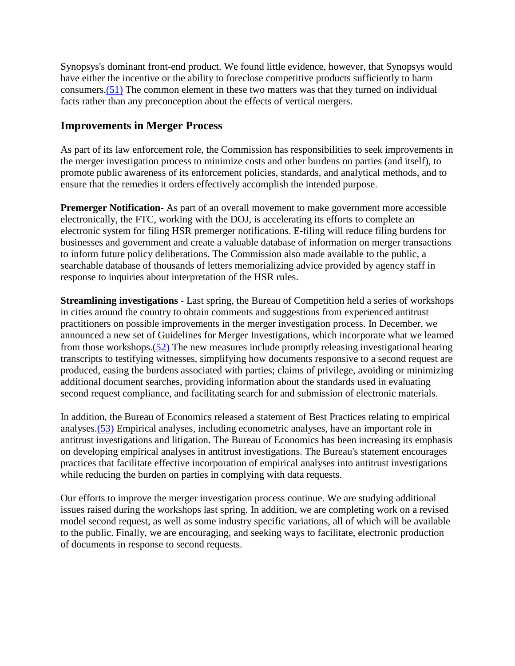Synopsys's dominant front-end product. We found little evidence, however, that Synopsys would have either the incentive or the ability to foreclose competitive products sufficiently to harm consumers[.\(51\)](#page-18-2) The common element in these two matters was that they turned on individual facts rather than any preconception about the effects of vertical mergers.

### **Improvements in Merger Process**

As part of its law enforcement role, the Commission has responsibilities to seek improvements in the merger investigation process to minimize costs and other burdens on parties (and itself), to promote public awareness of its enforcement policies, standards, and analytical methods, and to ensure that the remedies it orders effectively accomplish the intended purpose.

**Premerger Notification**- As part of an overall movement to make government more accessible electronically, the FTC, working with the DOJ, is accelerating its efforts to complete an electronic system for filing HSR premerger notifications. E-filing will reduce filing burdens for businesses and government and create a valuable database of information on merger transactions to inform future policy deliberations. The Commission also made available to the public, a searchable database of thousands of letters memorializing advice provided by agency staff in response to inquiries about interpretation of the HSR rules.

**Streamlining investigations** - Last spring, the Bureau of Competition held a series of workshops in cities around the country to obtain comments and suggestions from experienced antitrust practitioners on possible improvements in the merger investigation process. In December, we announced a new set of Guidelines for Merger Investigations, which incorporate what we learned from those workshops[.\(52\)](#page-18-3) The new measures include promptly releasing investigational hearing transcripts to testifying witnesses, simplifying how documents responsive to a second request are produced, easing the burdens associated with parties; claims of privilege, avoiding or minimizing additional document searches, providing information about the standards used in evaluating second request compliance, and facilitating search for and submission of electronic materials.

In addition, the Bureau of Economics released a statement of Best Practices relating to empirical analyses[.\(53\)](#page-18-4) Empirical analyses, including econometric analyses, have an important role in antitrust investigations and litigation. The Bureau of Economics has been increasing its emphasis on developing empirical analyses in antitrust investigations. The Bureau's statement encourages practices that facilitate effective incorporation of empirical analyses into antitrust investigations while reducing the burden on parties in complying with data requests.

Our efforts to improve the merger investigation process continue. We are studying additional issues raised during the workshops last spring. In addition, we are completing work on a revised model second request, as well as some industry specific variations, all of which will be available to the public. Finally, we are encouraging, and seeking ways to facilitate, electronic production of documents in response to second requests.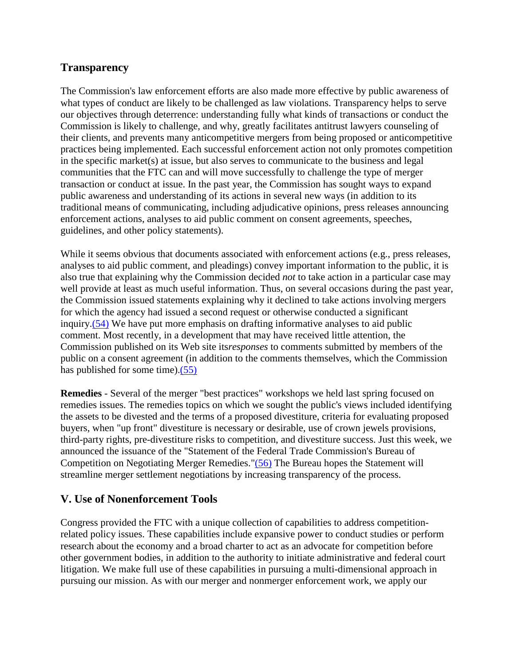## **Transparency**

The Commission's law enforcement efforts are also made more effective by public awareness of what types of conduct are likely to be challenged as law violations. Transparency helps to serve our objectives through deterrence: understanding fully what kinds of transactions or conduct the Commission is likely to challenge, and why, greatly facilitates antitrust lawyers counseling of their clients, and prevents many anticompetitive mergers from being proposed or anticompetitive practices being implemented. Each successful enforcement action not only promotes competition in the specific market(s) at issue, but also serves to communicate to the business and legal communities that the FTC can and will move successfully to challenge the type of merger transaction or conduct at issue. In the past year, the Commission has sought ways to expand public awareness and understanding of its actions in several new ways (in addition to its traditional means of communicating, including adjudicative opinions, press releases announcing enforcement actions, analyses to aid public comment on consent agreements, speeches, guidelines, and other policy statements).

While it seems obvious that documents associated with enforcement actions (e.g., press releases, analyses to aid public comment, and pleadings) convey important information to the public, it is also true that explaining why the Commission decided *not* to take action in a particular case may well provide at least as much useful information. Thus, on several occasions during the past year, the Commission issued statements explaining why it declined to take actions involving mergers for which the agency had issued a second request or otherwise conducted a significant inquiry[.\(54\)](#page-18-5) We have put more emphasis on drafting informative analyses to aid public comment. Most recently, in a development that may have received little attention, the Commission published on its Web site its*responses* to comments submitted by members of the public on a consent agreement (in addition to the comments themselves, which the Commission has published for some time)[.\(55\)](#page-18-6)

**Remedies** - Several of the merger "best practices" workshops we held last spring focused on remedies issues. The remedies topics on which we sought the public's views included identifying the assets to be divested and the terms of a proposed divestiture, criteria for evaluating proposed buyers, when "up front" divestiture is necessary or desirable, use of crown jewels provisions, third-party rights, pre-divestiture risks to competition, and divestiture success. Just this week, we announced the issuance of the "Statement of the Federal Trade Commission's Bureau of Competition on Negotiating Merger Remedies.["\(56\)](#page-18-7) The Bureau hopes the Statement will streamline merger settlement negotiations by increasing transparency of the process.

## **V. Use of Nonenforcement Tools**

Congress provided the FTC with a unique collection of capabilities to address competitionrelated policy issues. These capabilities include expansive power to conduct studies or perform research about the economy and a broad charter to act as an advocate for competition before other government bodies, in addition to the authority to initiate administrative and federal court litigation. We make full use of these capabilities in pursuing a multi-dimensional approach in pursuing our mission. As with our merger and nonmerger enforcement work, we apply our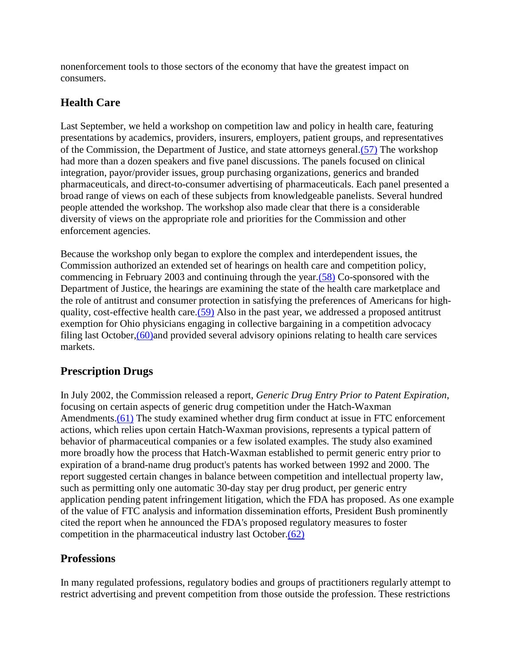nonenforcement tools to those sectors of the economy that have the greatest impact on consumers.

# **Health Care**

Last September, we held a workshop on competition law and policy in health care, featuring presentations by academics, providers, insurers, employers, patient groups, and representatives of the Commission, the Department of Justice, and state attorneys general[.\(57\)](#page-18-8) The workshop had more than a dozen speakers and five panel discussions. The panels focused on clinical integration, payor/provider issues, group purchasing organizations, generics and branded pharmaceuticals, and direct-to-consumer advertising of pharmaceuticals. Each panel presented a broad range of views on each of these subjects from knowledgeable panelists. Several hundred people attended the workshop. The workshop also made clear that there is a considerable diversity of views on the appropriate role and priorities for the Commission and other enforcement agencies.

Because the workshop only began to explore the complex and interdependent issues, the Commission authorized an extended set of hearings on health care and competition policy, commencing in February 2003 and continuing through the year[.\(58\)](#page-19-0) Co-sponsored with the Department of Justice, the hearings are examining the state of the health care marketplace and the role of antitrust and consumer protection in satisfying the preferences of Americans for highquality, cost-effective health care[.\(59\)](#page-19-1) Also in the past year, we addressed a proposed antitrust exemption for Ohio physicians engaging in collective bargaining in a competition advocacy filing last October[,\(60\)a](#page-19-2)nd provided several advisory opinions relating to health care services markets.

# **Prescription Drugs**

In July 2002, the Commission released a report, *Generic Drug Entry Prior to Patent Expiration*, focusing on certain aspects of generic drug competition under the Hatch-Waxman Amendments[.\(61\)](#page-19-3) The study examined whether drug firm conduct at issue in FTC enforcement actions, which relies upon certain Hatch-Waxman provisions, represents a typical pattern of behavior of pharmaceutical companies or a few isolated examples. The study also examined more broadly how the process that Hatch-Waxman established to permit generic entry prior to expiration of a brand-name drug product's patents has worked between 1992 and 2000. The report suggested certain changes in balance between competition and intellectual property law, such as permitting only one automatic 30-day stay per drug product, per generic entry application pending patent infringement litigation, which the FDA has proposed. As one example of the value of FTC analysis and information dissemination efforts, President Bush prominently cited the report when he announced the FDA's proposed regulatory measures to foster competition in the pharmaceutical industry last October[.\(62\)](#page-19-4)

# **Professions**

In many regulated professions, regulatory bodies and groups of practitioners regularly attempt to restrict advertising and prevent competition from those outside the profession. These restrictions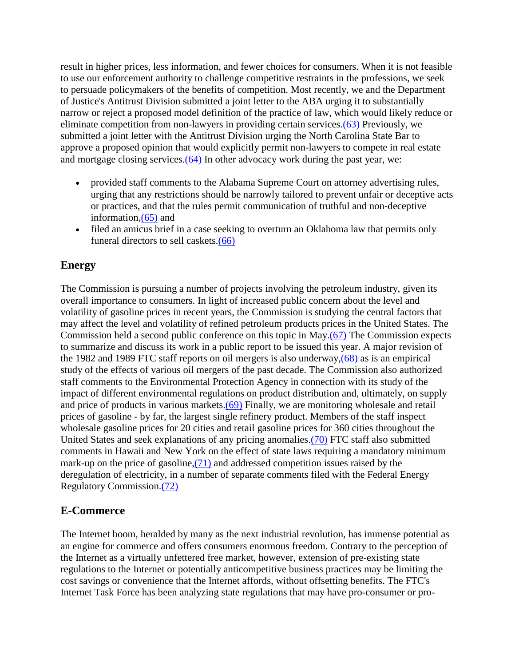result in higher prices, less information, and fewer choices for consumers. When it is not feasible to use our enforcement authority to challenge competitive restraints in the professions, we seek to persuade policymakers of the benefits of competition. Most recently, we and the Department of Justice's Antitrust Division submitted a joint letter to the ABA urging it to substantially narrow or reject a proposed model definition of the practice of law, which would likely reduce or eliminate competition from non-lawyers in providing certain services[.\(63\)](#page-19-5) Previously, we submitted a joint letter with the Antitrust Division urging the North Carolina State Bar to approve a proposed opinion that would explicitly permit non-lawyers to compete in real estate and mortgage closing services[.\(64\)](#page-19-6) In other advocacy work during the past year, we:

- provided staff comments to the Alabama Supreme Court on attorney advertising rules, urging that any restrictions should be narrowly tailored to prevent unfair or deceptive acts or practices, and that the rules permit communication of truthful and non-deceptive information[,\(65\)](#page-19-7) and
- filed an amicus brief in a case seeking to overturn an Oklahoma law that permits only funeral directors to sell caskets[.\(66\)](#page-19-8)

## **Energy**

The Commission is pursuing a number of projects involving the petroleum industry, given its overall importance to consumers. In light of increased public concern about the level and volatility of gasoline prices in recent years, the Commission is studying the central factors that may affect the level and volatility of refined petroleum products prices in the United States. The Commission held a second public conference on this topic in May[.\(67\)](#page-19-9) The Commission expects to summarize and discuss its work in a public report to be issued this year. A major revision of the 1982 and 1989 FTC staff reports on oil mergers is also underway[,\(68\)](#page-19-10) as is an empirical study of the effects of various oil mergers of the past decade. The Commission also authorized staff comments to the Environmental Protection Agency in connection with its study of the impact of different environmental regulations on product distribution and, ultimately, on supply and price of products in various markets[.\(69\)](#page-19-11) Finally, we are monitoring wholesale and retail prices of gasoline - by far, the largest single refinery product. Members of the staff inspect wholesale gasoline prices for 20 cities and retail gasoline prices for 360 cities throughout the United States and seek explanations of any pricing anomalies[.\(70\)](#page-20-0) FTC staff also submitted comments in Hawaii and New York on the effect of state laws requiring a mandatory minimum mark-up on the price of gasoline[,\(71\)](#page-20-1) and addressed competition issues raised by the deregulation of electricity, in a number of separate comments filed with the Federal Energy Regulatory Commission[.\(72\)](#page-20-2)

### **E-Commerce**

The Internet boom, heralded by many as the next industrial revolution, has immense potential as an engine for commerce and offers consumers enormous freedom. Contrary to the perception of the Internet as a virtually unfettered free market, however, extension of pre-existing state regulations to the Internet or potentially anticompetitive business practices may be limiting the cost savings or convenience that the Internet affords, without offsetting benefits. The FTC's Internet Task Force has been analyzing state regulations that may have pro-consumer or pro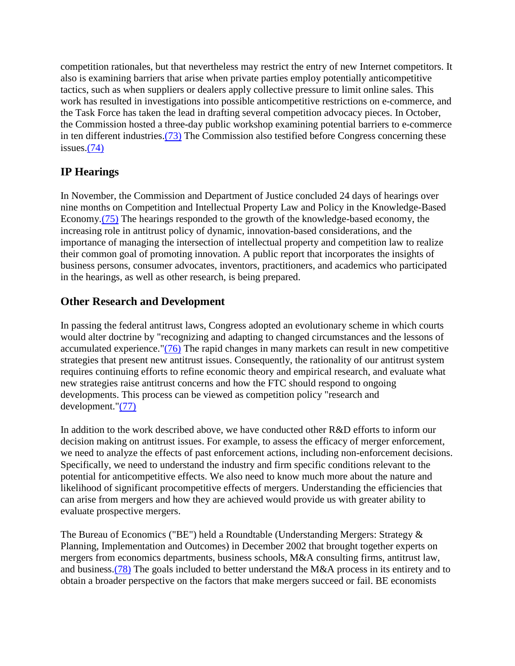competition rationales, but that nevertheless may restrict the entry of new Internet competitors. It also is examining barriers that arise when private parties employ potentially anticompetitive tactics, such as when suppliers or dealers apply collective pressure to limit online sales. This work has resulted in investigations into possible anticompetitive restrictions on e-commerce, and the Task Force has taken the lead in drafting several competition advocacy pieces. In October, the Commission hosted a three-day public workshop examining potential barriers to e-commerce in ten different industries[.\(73\)](#page-20-3) The Commission also testified before Congress concerning these issues[.\(74\)](#page-20-4)

# **IP Hearings**

In November, the Commission and Department of Justice concluded 24 days of hearings over nine months on Competition and Intellectual Property Law and Policy in the Knowledge-Based Economy[.\(75\)](#page-20-5) The hearings responded to the growth of the knowledge-based economy, the increasing role in antitrust policy of dynamic, innovation-based considerations, and the importance of managing the intersection of intellectual property and competition law to realize their common goal of promoting innovation. A public report that incorporates the insights of business persons, consumer advocates, inventors, practitioners, and academics who participated in the hearings, as well as other research, is being prepared.

## **Other Research and Development**

In passing the federal antitrust laws, Congress adopted an evolutionary scheme in which courts would alter doctrine by "recognizing and adapting to changed circumstances and the lessons of accumulated experience." $(76)$  The rapid changes in many markets can result in new competitive strategies that present new antitrust issues. Consequently, the rationality of our antitrust system requires continuing efforts to refine economic theory and empirical research, and evaluate what new strategies raise antitrust concerns and how the FTC should respond to ongoing developments. This process can be viewed as competition policy "research and development.["\(77\)](#page-20-7)

In addition to the work described above, we have conducted other R&D efforts to inform our decision making on antitrust issues. For example, to assess the efficacy of merger enforcement, we need to analyze the effects of past enforcement actions, including non-enforcement decisions. Specifically, we need to understand the industry and firm specific conditions relevant to the potential for anticompetitive effects. We also need to know much more about the nature and likelihood of significant procompetitive effects of mergers. Understanding the efficiencies that can arise from mergers and how they are achieved would provide us with greater ability to evaluate prospective mergers.

The Bureau of Economics ("BE") held a Roundtable (Understanding Mergers: Strategy & Planning, Implementation and Outcomes) in December 2002 that brought together experts on mergers from economics departments, business schools, M&A consulting firms, antitrust law, and business[.\(78\)](#page-20-8) The goals included to better understand the M&A process in its entirety and to obtain a broader perspective on the factors that make mergers succeed or fail. BE economists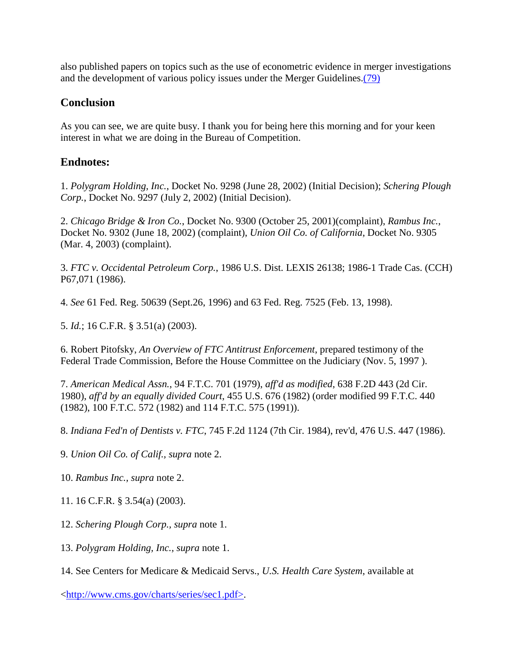also published papers on topics such as the use of econometric evidence in merger investigations and the development of various policy issues under the Merger Guidelines[.\(79\)](#page-20-9)

### **Conclusion**

As you can see, we are quite busy. I thank you for being here this morning and for your keen interest in what we are doing in the Bureau of Competition.

#### **Endnotes:**

<span id="page-15-0"></span>1. *Polygram Holding, Inc.*, Docket No. 9298 (June 28, 2002) (Initial Decision); *Schering Plough Corp.*, Docket No. 9297 (July 2, 2002) (Initial Decision).

<span id="page-15-1"></span>2. *Chicago Bridge & Iron Co.*, Docket No. 9300 (October 25, 2001)(complaint), *Rambus Inc.*, Docket No. 9302 (June 18, 2002) (complaint), *Union Oil Co. of California*, Docket No. 9305 (Mar. 4, 2003) (complaint).

<span id="page-15-2"></span>3. *FTC v. Occidental Petroleum Corp.*, 1986 U.S. Dist. LEXIS 26138; 1986-1 Trade Cas. (CCH) P67,071 (1986).

<span id="page-15-3"></span>4. *See* 61 Fed. Reg. 50639 (Sept.26, 1996) and 63 Fed. Reg. 7525 (Feb. 13, 1998).

<span id="page-15-4"></span>5. *Id.*; 16 C.F.R. § 3.51(a) (2003).

<span id="page-15-5"></span>6. Robert Pitofsky, *An Overview of FTC Antitrust Enforcement*, prepared testimony of the Federal Trade Commission, Before the House Committee on the Judiciary (Nov. 5, 1997 ).

<span id="page-15-6"></span>7. *American Medical Assn.*, 94 F.T.C. 701 (1979), *aff'd as modified*, 638 F.2D 443 (2d Cir. 1980), *aff'd by an equally divided Court*, 455 U.S. 676 (1982) (order modified 99 F.T.C. 440 (1982), 100 F.T.C. 572 (1982) and 114 F.T.C. 575 (1991)).

<span id="page-15-7"></span>8. *Indiana Fed'n of Dentists v. FTC*, 745 F.2d 1124 (7th Cir. 1984), rev'd, 476 U.S. 447 (1986).

<span id="page-15-8"></span>9. *Union Oil Co. of Calif., supra* note 2.

<span id="page-15-9"></span>10. *Rambus Inc., supra* note 2.

<span id="page-15-10"></span>11. 16 C.F.R. § 3.54(a) (2003).

<span id="page-15-11"></span>12. *Schering Plough Corp., supra* note 1.

<span id="page-15-12"></span>13. *Polygram Holding, Inc., supra* note 1.

<span id="page-15-13"></span>14. See Centers for Medicare & Medicaid Servs., *U.S. Health Care System*, available at

[<http://www.cms.gov/charts/series/sec1.pdf>.](http://www.cms.gov/charts/series/sec1.pdf%3e)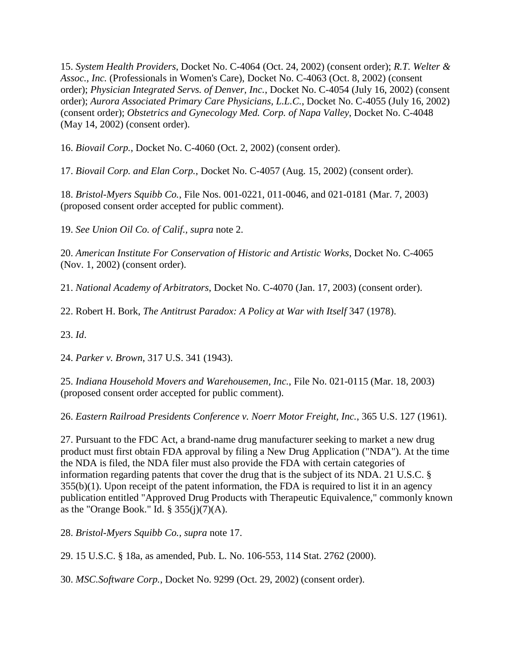<span id="page-16-0"></span>15. *System Health Providers*, Docket No. C-4064 (Oct. 24, 2002) (consent order); *R.T. Welter & Assoc., Inc.* (Professionals in Women's Care), Docket No. C-4063 (Oct. 8, 2002) (consent order); *Physician Integrated Servs. of Denver, Inc.*, Docket No. C-4054 (July 16, 2002) (consent order); *Aurora Associated Primary Care Physicians, L.L.C.*, Docket No. C-4055 (July 16, 2002) (consent order); *Obstetrics and Gynecology Med. Corp. of Napa Valley*, Docket No. C-4048 (May 14, 2002) (consent order).

<span id="page-16-1"></span>16. *Biovail Corp.*, Docket No. C-4060 (Oct. 2, 2002) (consent order).

<span id="page-16-2"></span>17. *Biovail Corp. and Elan Corp.*, Docket No. C-4057 (Aug. 15, 2002) (consent order).

<span id="page-16-3"></span>18. *Bristol-Myers Squibb Co.*, File Nos. 001-0221, 011-0046, and 021-0181 (Mar. 7, 2003) (proposed consent order accepted for public comment).

<span id="page-16-4"></span>19. *See Union Oil Co. of Calif., supra* note 2.

<span id="page-16-5"></span>20. *American Institute For Conservation of Historic and Artistic Works*, Docket No. C-4065 (Nov. 1, 2002) (consent order).

<span id="page-16-6"></span>21. *National Academy of Arbitrators*, Docket No. C-4070 (Jan. 17, 2003) (consent order).

<span id="page-16-7"></span>22. Robert H. Bork, *The Antitrust Paradox: A Policy at War with Itself* 347 (1978).

<span id="page-16-8"></span>23. *Id*.

<span id="page-16-9"></span>24. *Parker v. Brown*, 317 U.S. 341 (1943).

<span id="page-16-10"></span>25. *Indiana Household Movers and Warehousemen, Inc.*, File No. 021-0115 (Mar. 18, 2003) (proposed consent order accepted for public comment).

<span id="page-16-11"></span>26. *Eastern Railroad Presidents Conference v. Noerr Motor Freight, Inc.*, 365 U.S. 127 (1961).

<span id="page-16-12"></span>27. Pursuant to the FDC Act, a brand-name drug manufacturer seeking to market a new drug product must first obtain FDA approval by filing a New Drug Application ("NDA"). At the time the NDA is filed, the NDA filer must also provide the FDA with certain categories of information regarding patents that cover the drug that is the subject of its NDA. 21 U.S.C. §  $355(b)(1)$ . Upon receipt of the patent information, the FDA is required to list it in an agency publication entitled "Approved Drug Products with Therapeutic Equivalence," commonly known as the "Orange Book." Id.  $\S 355(j)(7)(A)$ .

<span id="page-16-13"></span>28. *Bristol-Myers Squibb Co., supra* note 17.

<span id="page-16-14"></span>29. 15 U.S.C. § 18a, as amended, Pub. L. No. 106-553, 114 Stat. 2762 (2000).

<span id="page-16-15"></span>30. *MSC.Software Corp.*, Docket No. 9299 (Oct. 29, 2002) (consent order).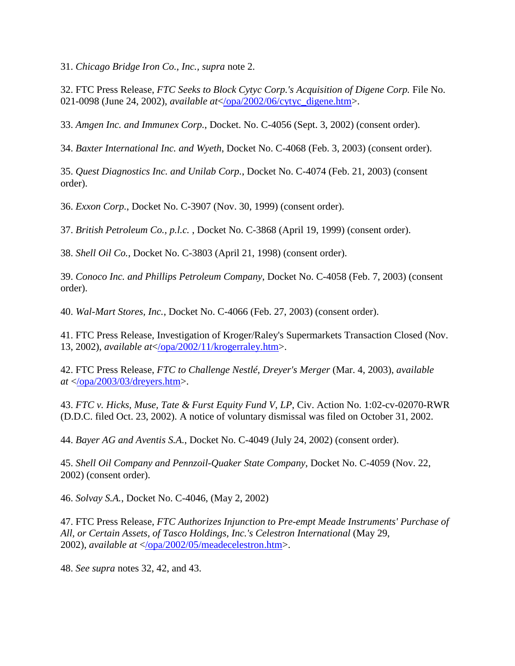<span id="page-17-0"></span>31. *Chicago Bridge Iron Co., Inc., supra* note 2.

<span id="page-17-1"></span>32. FTC Press Release, *FTC Seeks to Block Cytyc Corp.'s Acquisition of Digene Corp.* File No. 021-0098 (June 24, 2002), *available at*[</opa/2002/06/cytyc\\_digene.htm>](https://www.ftc.gov/opa/2002/06/cytyc_digene.shtm).

<span id="page-17-2"></span>33. *Amgen Inc. and Immunex Corp.*, Docket. No. C-4056 (Sept. 3, 2002) (consent order).

<span id="page-17-3"></span>34. *Baxter International Inc. and Wyeth*, Docket No. C-4068 (Feb. 3, 2003) (consent order).

<span id="page-17-4"></span>35. *Quest Diagnostics Inc. and Unilab Corp.*, Docket No. C-4074 (Feb. 21, 2003) (consent order).

<span id="page-17-5"></span>36. *Exxon Corp.*, Docket No. C-3907 (Nov. 30, 1999) (consent order).

<span id="page-17-6"></span>37. *British Petroleum Co., p.l.c.* , Docket No. C-3868 (April 19, 1999) (consent order).

<span id="page-17-7"></span>38. *Shell Oil Co.*, Docket No. C-3803 (April 21, 1998) (consent order).

<span id="page-17-8"></span>39. *Conoco Inc. and Phillips Petroleum Company*, Docket No. C-4058 (Feb. 7, 2003) (consent order).

<span id="page-17-9"></span>40. *Wal-Mart Stores, Inc.*, Docket No. C-4066 (Feb. 27, 2003) (consent order).

<span id="page-17-10"></span>41. FTC Press Release, Investigation of Kroger/Raley's Supermarkets Transaction Closed (Nov. 13, 2002), *available at*[</opa/2002/11/krogerraley.htm>](https://www.ftc.gov/opa/2002/11/krogerraley.shtm).

<span id="page-17-11"></span>42. FTC Press Release, *FTC to Challenge Nestlé, Dreyer's Merger* (Mar. 4, 2003), *available at* [</opa/2003/03/dreyers.htm>](https://www.ftc.gov/opa/2003/03/dreyers.shtm).

<span id="page-17-12"></span>43. *FTC v. Hicks, Muse, Tate & Furst Equity Fund V, LP*, Civ. Action No. 1:02-cv-02070-RWR (D.D.C. filed Oct. 23, 2002). A notice of voluntary dismissal was filed on October 31, 2002.

<span id="page-17-13"></span>44. *Bayer AG and Aventis S.A.*, Docket No. C-4049 (July 24, 2002) (consent order).

<span id="page-17-14"></span>45. *Shell Oil Company and Pennzoil-Quaker State Company*, Docket No. C-4059 (Nov. 22, 2002) (consent order).

<span id="page-17-15"></span>46. *Solvay S.A.*, Docket No. C-4046, (May 2, 2002)

<span id="page-17-16"></span>47. FTC Press Release, *FTC Authorizes Injunction to Pre-empt Meade Instruments' Purchase of All, or Certain Assets, of Tasco Holdings, Inc.'s Celestron International* (May 29, 2002), *available at* [</opa/2002/05/meadecelestron.htm>](https://www.ftc.gov/opa/2002/05/meadecelestron.shtm).

<span id="page-17-17"></span>48. *See supra* notes 32, 42, and 43.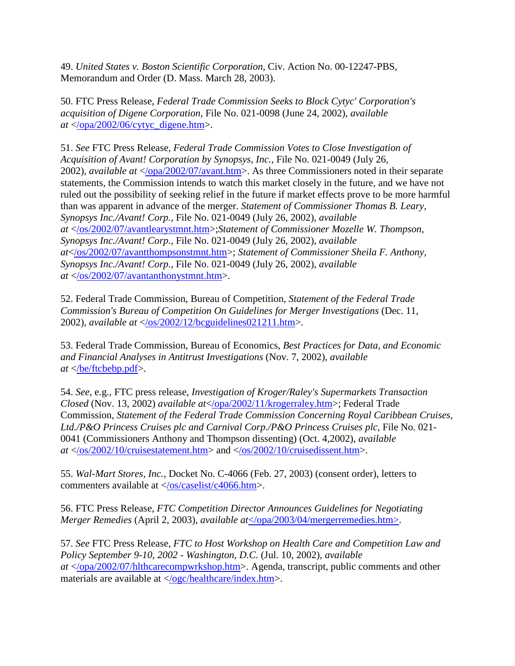<span id="page-18-0"></span>49. *United States v. Boston Scientific Corporation*, Civ. Action No. 00-12247-PBS, Memorandum and Order (D. Mass. March 28, 2003).

<span id="page-18-1"></span>50. FTC Press Release, *Federal Trade Commission Seeks to Block Cytyc' Corporation's acquisition of Digene Corporation*, File No. 021-0098 (June 24, 2002), *available at* [</opa/2002/06/cytyc\\_digene.htm>](https://www.ftc.gov/opa/2002/06/cytyc_digene.shtm).

<span id="page-18-2"></span>51. *See* FTC Press Release, *Federal Trade Commission Votes to Close Investigation of Acquisition of Avant! Corporation by Synopsys, Inc.*, File No. 021-0049 (July 26, 2002), *available at* [</opa/2002/07/avant.htm>](https://www.ftc.gov/opa/2002/07/avant.shtm). As three Commissioners noted in their separate statements, the Commission intends to watch this market closely in the future, and we have not ruled out the possibility of seeking relief in the future if market effects prove to be more harmful than was apparent in advance of the merger. *Statement of Commissioner Thomas B. Leary, Synopsys Inc./Avant! Corp.*, File No. 021-0049 (July 26, 2002), *available at* [</os/2002/07/avantlearystmnt.htm>](https://www.ftc.gov/os/2002/07/avantlearystmnt.htm);*Statement of Commissioner Mozelle W. Thompson, Synopsys Inc./Avant! Corp.*, File No. 021-0049 (July 26, 2002), *available at*[</os/2002/07/avantthompsonstmnt.htm>](https://www.ftc.gov/os/2002/07/avantthompsonstmnt.htm); *Statement of Commissioner Sheila F. Anthony, Synopsys Inc./Avant! Corp.*, File No. 021-0049 (July 26, 2002), *available at* [</os/2002/07/avantanthonystmnt.htm>](https://www.ftc.gov/os/2002/07/advantanthonystmnt.htm).

<span id="page-18-3"></span>52. Federal Trade Commission, Bureau of Competition, *Statement of the Federal Trade Commission's Bureau of Competition On Guidelines for Merger Investigations* (Dec. 11, 2002), *available at* [</os/2002/12/bcguidelines021211.htm>](https://www.ftc.gov/os/2002/12/bcguidelines021211.htm).

<span id="page-18-4"></span>53. Federal Trade Commission, Bureau of Economics, *Best Practices for Data, and Economic and Financial Analyses in Antitrust Investigations* (Nov. 7, 2002), *available at* [</be/ftcbebp.pdf>](https://www.ftc.gov/be/ftcbebp.pdf).

<span id="page-18-5"></span>54. *See*, e.g., FTC press release, *Investigation of Kroger/Raley's Supermarkets Transaction Closed* (Nov. 13, 2002) *available at*[</opa/2002/11/krogerraley.htm>](https://www.ftc.gov/opa/2002/11/krogerraley.shtm); Federal Trade Commission, *Statement of the Federal Trade Commission Concerning Royal Caribbean Cruises, Ltd./P&O Princess Cruises plc and Carnival Corp./P&O Princess Cruises plc*, File No. 021- 0041 (Commissioners Anthony and Thompson dissenting) (Oct. 4,2002), *available at* [</os/2002/10/cruisestatement.htm>](https://www.ftc.gov/opa/2002/10/cruiselines.shtm) and [</os/2002/10/cruisedissent.htm>](https://www.ftc.gov/opa/2002/10/cruiselines.shtm).

<span id="page-18-6"></span>55. *Wal-Mart Stores, Inc.*, Docket No. C-4066 (Feb. 27, 2003) (consent order), letters to commenters available at  $\langle$ /os/caselist/c4066.htm>.

<span id="page-18-7"></span>56. FTC Press Release, *FTC Competition Director Announces Guidelines for Negotiating Merger Remedies* (April 2, 2003), *available at*[</opa/2003/04/mergerremedies.htm>.](https://www.ftc.gov/opa/2003/04/mergerremedies.htm)

<span id="page-18-8"></span>57. *See* FTC Press Release, *FTC to Host Workshop on Health Care and Competition Law and Policy September 9-10, 2002 - Washington, D.C.* (Jul. 10, 2002), *available at* [</opa/2002/07/hlthcarecompwrkshop.htm>](https://www.ftc.gov/opa/2002/07/hlthcarecompwrkshop.htm). Agenda, transcript, public comments and other materials are available at  $\langle \text{ogc/healthcare/index.htm} \rangle$ .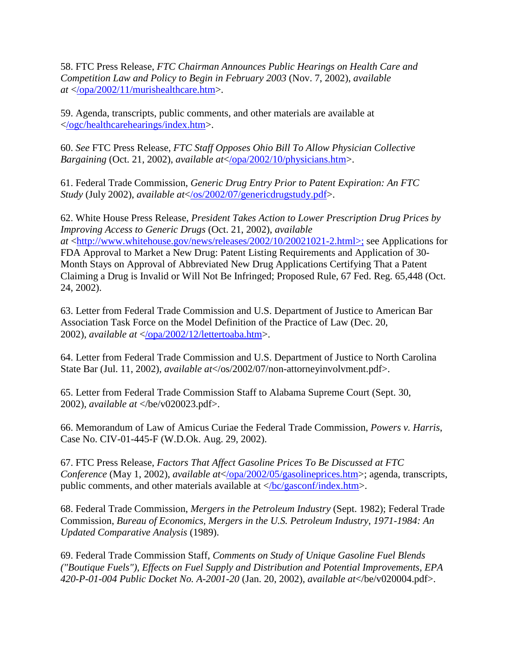<span id="page-19-0"></span>58. FTC Press Release, *FTC Chairman Announces Public Hearings on Health Care and Competition Law and Policy to Begin in February 2003* (Nov. 7, 2002), *available at* [</opa/2002/11/murishealthcare.htm>](https://www.ftc.gov/opa/2002/11/murishealthcare.shtm).

<span id="page-19-1"></span>59. Agenda, transcripts, public comments, and other materials are available at [</ogc/healthcarehearings/index.htm>](https://www.ftc.gov/ogc/healthcarehearings/index.htm).

<span id="page-19-2"></span>60. *See* FTC Press Release, *FTC Staff Opposes Ohio Bill To Allow Physician Collective Bargaining* (Oct. 21, 2002), *available at*[</opa/2002/10/physicians.htm>](https://www.ftc.gov/opa/2002/10/physicians.shtm).

<span id="page-19-3"></span>61. Federal Trade Commission, *Generic Drug Entry Prior to Patent Expiration: An FTC Study* (July 2002), *available at*[</os/2002/07/genericdrugstudy.pdf>](https://www.ftc.gov/opa/2002/07/genericdrugstudy.shtm).

<span id="page-19-4"></span>62. White House Press Release, *President Takes Action to Lower Prescription Drug Prices by Improving Access to Generic Drugs* (Oct. 21, 2002), *available at* [<http://www.whitehouse.gov/news/releases/2002/10/20021021-2.html>;](http://www.whitehouse.gov/news/releases/2002/10/20021021-2.html%3e;) see Applications for FDA Approval to Market a New Drug: Patent Listing Requirements and Application of 30- Month Stays on Approval of Abbreviated New Drug Applications Certifying That a Patent Claiming a Drug is Invalid or Will Not Be Infringed; Proposed Rule, 67 Fed. Reg. 65,448 (Oct. 24, 2002).

<span id="page-19-5"></span>63. Letter from Federal Trade Commission and U.S. Department of Justice to American Bar Association Task Force on the Model Definition of the Practice of Law (Dec. 20, 2002), *available at* [</opa/2002/12/lettertoaba.htm>](https://www.ftc.gov/opa/2002/12/lettertoaba.shtm).

<span id="page-19-6"></span>64. Letter from Federal Trade Commission and U.S. Department of Justice to North Carolina State Bar (Jul. 11, 2002), *available at*</os/2002/07/non-attorneyinvolvment.pdf>.

<span id="page-19-7"></span>65. Letter from Federal Trade Commission Staff to Alabama Supreme Court (Sept. 30, 2002), *available at* </be/v020023.pdf>.

<span id="page-19-8"></span>66. Memorandum of Law of Amicus Curiae the Federal Trade Commission, *Powers v. Harris*, Case No. CIV-01-445-F (W.D.Ok. Aug. 29, 2002).

<span id="page-19-9"></span>67. FTC Press Release, *Factors That Affect Gasoline Prices To Be Discussed at FTC Conference* (May 1, 2002), *available at*</*opa/2002/05/gasolineprices.htm>*; agenda, transcripts, public comments, and other materials available at  $\langle$ /bc/gasconf/index.htm>.

<span id="page-19-10"></span>68. Federal Trade Commission, *Mergers in the Petroleum Industry* (Sept. 1982); Federal Trade Commission, *Bureau of Economics, Mergers in the U.S. Petroleum Industry, 1971-1984: An Updated Comparative Analysis* (1989).

<span id="page-19-11"></span>69. Federal Trade Commission Staff, *Comments on Study of Unique Gasoline Fuel Blends ("Boutique Fuels"), Effects on Fuel Supply and Distribution and Potential Improvements, EPA 420-P-01-004 Public Docket No. A-2001-20* (Jan. 20, 2002), *available at*</be/v020004.pdf>.